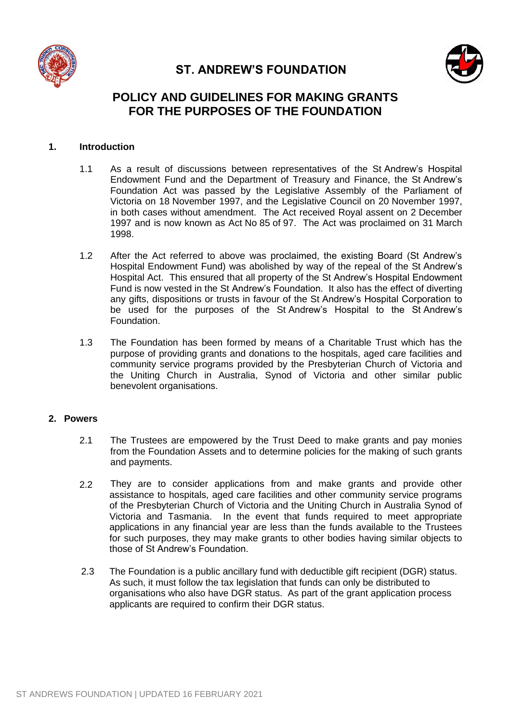

# **ST. ANDREW'S FOUNDATION**



# **POLICY AND GUIDELINES FOR MAKING GRANTS FOR THE PURPOSES OF THE FOUNDATION**

## **1. Introduction**

- 1.1 As a result of discussions between representatives of the St Andrew's Hospital Endowment Fund and the Department of Treasury and Finance, the St Andrew's Foundation Act was passed by the Legislative Assembly of the Parliament of Victoria on 18 November 1997, and the Legislative Council on 20 November 1997, in both cases without amendment. The Act received Royal assent on 2 December 1997 and is now known as Act No 85 of 97. The Act was proclaimed on 31 March 1998.
- 1.2 After the Act referred to above was proclaimed, the existing Board (St Andrew's Hospital Endowment Fund) was abolished by way of the repeal of the St Andrew's Hospital Act. This ensured that all property of the St Andrew's Hospital Endowment Fund is now vested in the St Andrew's Foundation. It also has the effect of diverting any gifts, dispositions or trusts in favour of the St Andrew's Hospital Corporation to be used for the purposes of the St Andrew's Hospital to the St Andrew's Foundation.
- 1.3 The Foundation has been formed by means of a Charitable Trust which has the purpose of providing grants and donations to the hospitals, aged care facilities and community service programs provided by the Presbyterian Church of Victoria and the Uniting Church in Australia, Synod of Victoria and other similar public benevolent organisations.

#### **2. Powers**

- 2.1 The Trustees are empowered by the Trust Deed to make grants and pay monies from the Foundation Assets and to determine policies for the making of such grants and payments.
- 2.2 They are to consider applications from and make grants and provide other assistance to hospitals, aged care facilities and other community service programs of the Presbyterian Church of Victoria and the Uniting Church in Australia Synod of Victoria and Tasmania. In the event that funds required to meet appropriate applications in any financial year are less than the funds available to the Trustees for such purposes, they may make grants to other bodies having similar objects to those of St Andrew's Foundation.
- 2.3 The Foundation is a public ancillary fund with deductible gift recipient (DGR) status. As such, it must follow the tax legislation that funds can only be distributed to organisations who also have DGR status. As part of the grant application process applicants are required to confirm their DGR status.